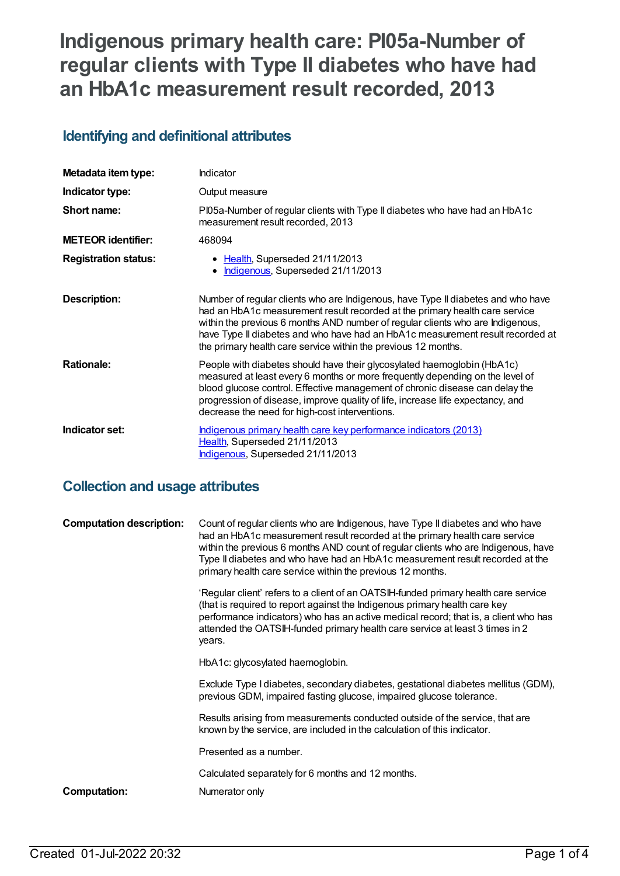# **Indigenous primary health care: PI05a-Number of regular clients with Type II diabetes who have had an HbA1c measurement result recorded, 2013**

### **Identifying and definitional attributes**

| Metadata item type:         | Indicator                                                                                                                                                                                                                                                                                                                                                                                             |
|-----------------------------|-------------------------------------------------------------------------------------------------------------------------------------------------------------------------------------------------------------------------------------------------------------------------------------------------------------------------------------------------------------------------------------------------------|
| Indicator type:             | Output measure                                                                                                                                                                                                                                                                                                                                                                                        |
| Short name:                 | PI05a-Number of regular clients with Type II diabetes who have had an HbA1c<br>measurement result recorded, 2013                                                                                                                                                                                                                                                                                      |
| <b>METEOR identifier:</b>   | 468094                                                                                                                                                                                                                                                                                                                                                                                                |
| <b>Registration status:</b> | • Health, Superseded 21/11/2013<br>Indigenous, Superseded 21/11/2013                                                                                                                                                                                                                                                                                                                                  |
| <b>Description:</b>         | Number of regular clients who are Indigenous, have Type II diabetes and who have<br>had an HbA1c measurement result recorded at the primary health care service<br>within the previous 6 months AND number of regular clients who are Indigenous,<br>have Type II diabetes and who have had an HbA1c measurement result recorded at<br>the primary health care service within the previous 12 months. |
| <b>Rationale:</b>           | People with diabetes should have their glycosylated haemoglobin (HbA1c)<br>measured at least every 6 months or more frequently depending on the level of<br>blood glucose control. Effective management of chronic disease can delay the<br>progression of disease, improve quality of life, increase life expectancy, and<br>decrease the need for high-cost interventions.                          |
| Indicator set:              | Indigenous primary health care key performance indicators (2013)<br>Health, Superseded 21/11/2013<br>Indigenous, Superseded 21/11/2013                                                                                                                                                                                                                                                                |

### **Collection and usage attributes**

| <b>Computation description:</b> | Count of regular clients who are Indigenous, have Type II diabetes and who have<br>had an HbA1c measurement result recorded at the primary health care service<br>within the previous 6 months AND count of regular clients who are Indigenous, have<br>Type II diabetes and who have had an HbA1c measurement result recorded at the<br>primary health care service within the previous 12 months. |
|---------------------------------|-----------------------------------------------------------------------------------------------------------------------------------------------------------------------------------------------------------------------------------------------------------------------------------------------------------------------------------------------------------------------------------------------------|
|                                 | 'Regular client' refers to a client of an OATSIH-funded primary health care service<br>(that is required to report against the Indigenous primary health care key<br>performance indicators) who has an active medical record; that is, a client who has<br>attended the OATSIH-funded primary health care service at least 3 times in 2<br>years.                                                  |
|                                 | HbA1c: glycosylated haemoglobin.                                                                                                                                                                                                                                                                                                                                                                    |
|                                 | Exclude Type I diabetes, secondary diabetes, gestational diabetes mellitus (GDM),<br>previous GDM, impaired fasting glucose, impaired glucose tolerance.                                                                                                                                                                                                                                            |
|                                 | Results arising from measurements conducted outside of the service, that are<br>known by the service, are included in the calculation of this indicator.                                                                                                                                                                                                                                            |
|                                 | Presented as a number.                                                                                                                                                                                                                                                                                                                                                                              |
|                                 | Calculated separately for 6 months and 12 months.                                                                                                                                                                                                                                                                                                                                                   |
| Computation:                    | Numerator only                                                                                                                                                                                                                                                                                                                                                                                      |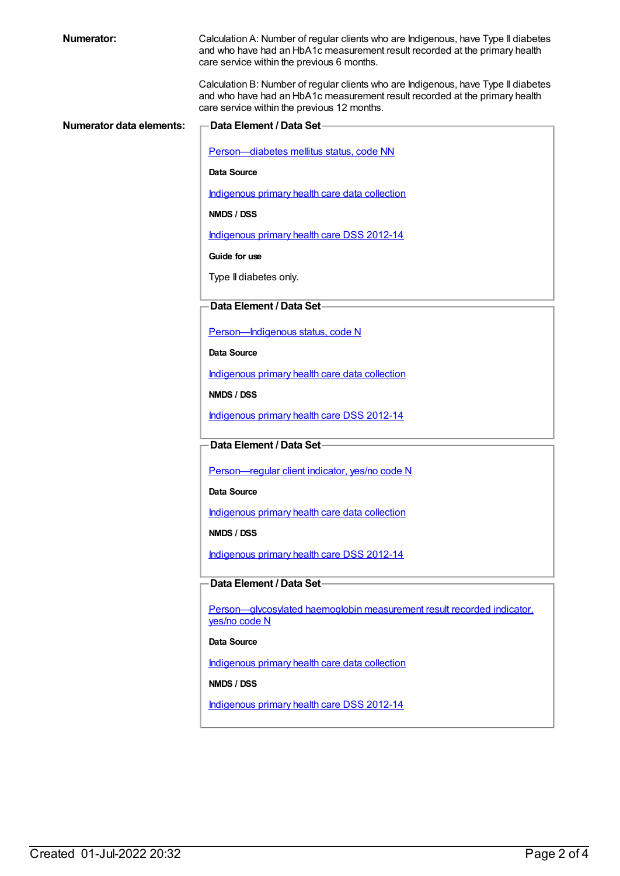| <b>Numerator:</b>               | Calculation A: Number of regular clients who are Indigenous, have Type II diabetes<br>and who have had an HbA1c measurement result recorded at the primary health<br>care service within the previous 6 months.  |
|---------------------------------|------------------------------------------------------------------------------------------------------------------------------------------------------------------------------------------------------------------|
|                                 | Calculation B: Number of regular clients who are Indigenous, have Type II diabetes<br>and who have had an HbA1c measurement result recorded at the primary health<br>care service within the previous 12 months. |
| <b>Numerator data elements:</b> | Data Element / Data Set-                                                                                                                                                                                         |
|                                 |                                                                                                                                                                                                                  |
|                                 | Person-diabetes mellitus status, code NN                                                                                                                                                                         |
|                                 | Data Source                                                                                                                                                                                                      |
|                                 | Indigenous primary health care data collection                                                                                                                                                                   |
|                                 | <b>NMDS / DSS</b>                                                                                                                                                                                                |
|                                 | Indigenous primary health care DSS 2012-14                                                                                                                                                                       |
|                                 | Guide for use                                                                                                                                                                                                    |
|                                 | Type II diabetes only.                                                                                                                                                                                           |
|                                 |                                                                                                                                                                                                                  |
|                                 | Data Element / Data Set-                                                                                                                                                                                         |
|                                 | Person-Indigenous status, code N                                                                                                                                                                                 |
|                                 | Data Source                                                                                                                                                                                                      |
|                                 | Indigenous primary health care data collection                                                                                                                                                                   |
|                                 | NMDS / DSS                                                                                                                                                                                                       |
|                                 | Indigenous primary health care DSS 2012-14                                                                                                                                                                       |
|                                 | Data Element / Data Set-                                                                                                                                                                                         |
|                                 |                                                                                                                                                                                                                  |
|                                 | Person-regular client indicator, yes/no code N                                                                                                                                                                   |
|                                 | Data Source                                                                                                                                                                                                      |
|                                 | Indigenous primary health care data collection                                                                                                                                                                   |
|                                 | NMDS / DSS                                                                                                                                                                                                       |
|                                 | Indigenous primary health care DSS 2012-14                                                                                                                                                                       |
|                                 | Data Element / Data Set-                                                                                                                                                                                         |
|                                 |                                                                                                                                                                                                                  |
|                                 | Person-glycosylated haemoglobin measurement result recorded indicator.<br>yes/no code N                                                                                                                          |
|                                 | Data Source                                                                                                                                                                                                      |
|                                 | Indigenous primary health care data collection                                                                                                                                                                   |
|                                 | NMDS / DSS                                                                                                                                                                                                       |
|                                 | Indigenous primary health care DSS 2012-14                                                                                                                                                                       |
|                                 |                                                                                                                                                                                                                  |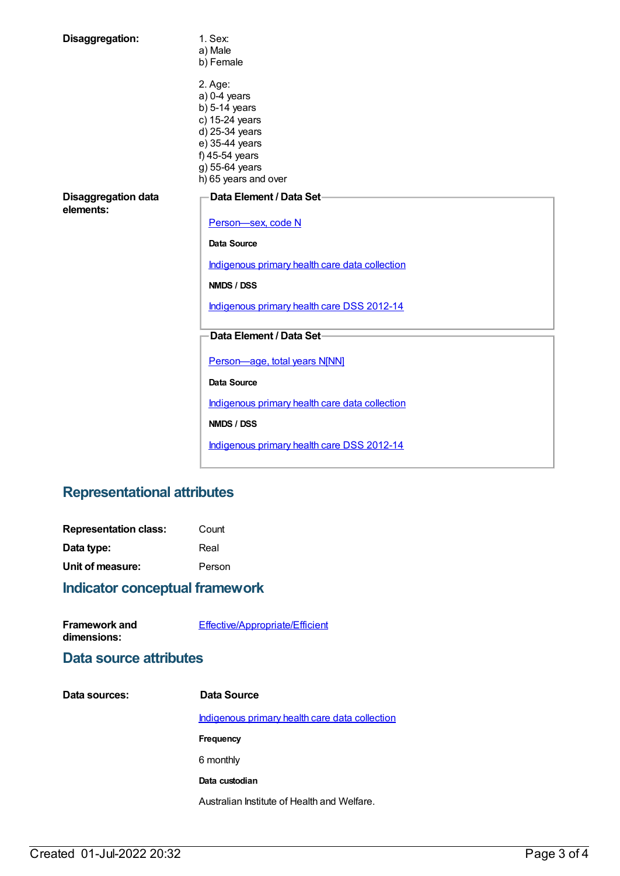| Disaggregation:                         | 1. Sex:<br>a) Male<br>b) Female                                                                                                                                |  |
|-----------------------------------------|----------------------------------------------------------------------------------------------------------------------------------------------------------------|--|
|                                         | 2. Age:<br>$a) 0-4$ years<br>$b)$ 5-14 years<br>c) 15-24 years<br>d) 25-34 years<br>e) 35-44 years<br>f) 45-54 years<br>g) 55-64 years<br>h) 65 years and over |  |
| <b>Disaggregation data</b><br>elements: | Data Element / Data Set-<br>Person-sex, code N<br>Data Source<br>Indigenous primary health care data collection                                                |  |
|                                         | NMDS / DSS<br>Indigenous primary health care DSS 2012-14                                                                                                       |  |
|                                         | Data Element / Data Set-                                                                                                                                       |  |
|                                         | Person-age, total years N[NN]<br>Data Source                                                                                                                   |  |
|                                         | Indigenous primary health care data collection                                                                                                                 |  |
|                                         | NMDS / DSS                                                                                                                                                     |  |
|                                         | Indigenous primary health care DSS 2012-14                                                                                                                     |  |

## **Representational attributes**

| <b>Representation class:</b> | Count  |
|------------------------------|--------|
| Data type:                   | Real   |
| Unit of measure:             | Person |

## **Indicator conceptual framework**

| <b>Framework and</b> | Effective/Appropriate/Efficient |
|----------------------|---------------------------------|
| dimensions:          |                                 |

### **Data source attributes**

| Data sources: | Data Source                                    |
|---------------|------------------------------------------------|
|               | Indigenous primary health care data collection |
|               | Frequency                                      |
|               | 6 monthly                                      |
|               | Data custodian                                 |
|               | Australian Institute of Health and Welfare.    |